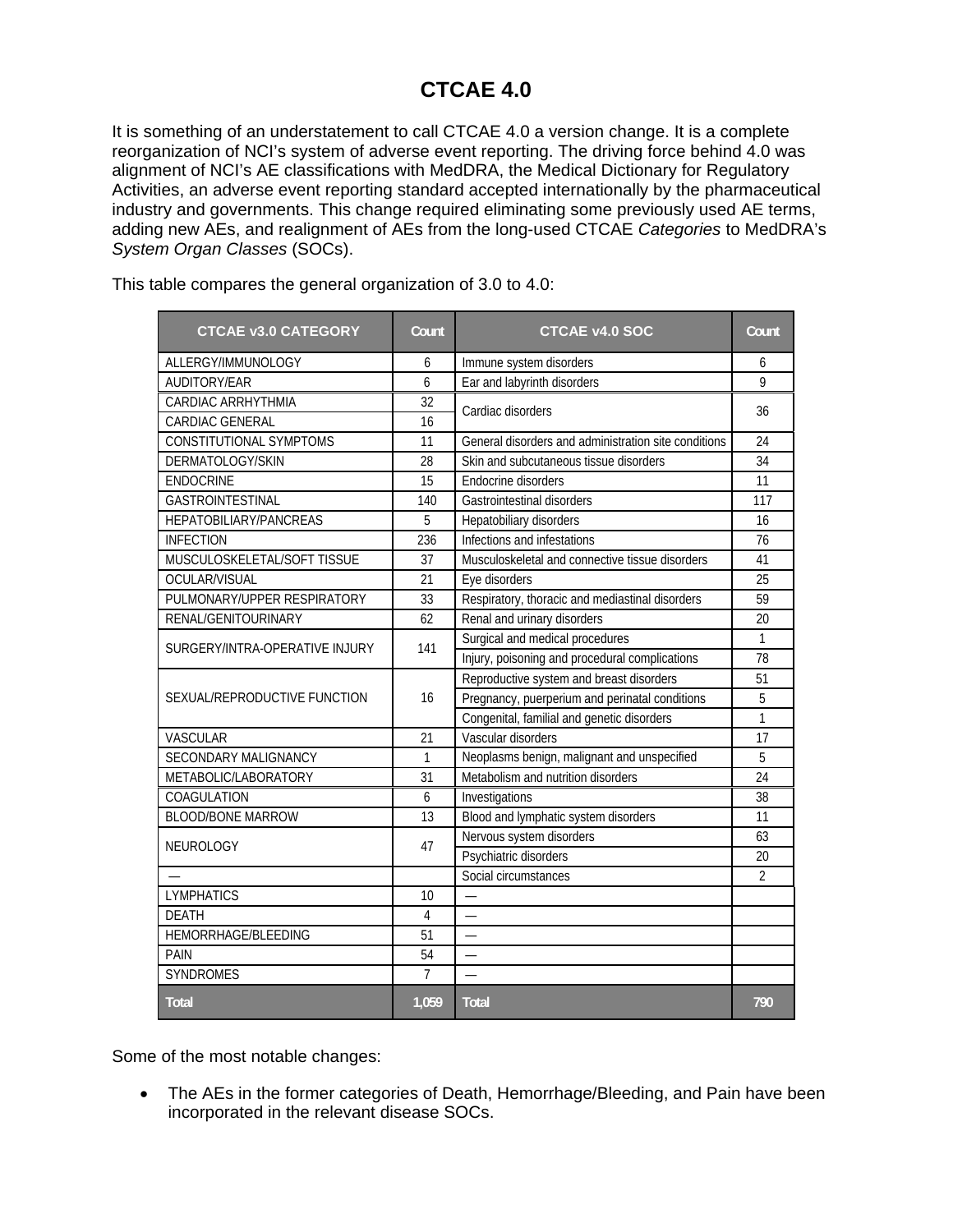## **CTCAE 4.0**

It is something of an understatement to call CTCAE 4.0 a version change. It is a complete reorganization of NCI's system of adverse event reporting. The driving force behind 4.0 was alignment of NCI's AE classifications with MedDRA, the Medical Dictionary for Regulatory Activities, an adverse event reporting standard accepted internationally by the pharmaceutical industry and governments. This change required eliminating some previously used AE terms, adding new AEs, and realignment of AEs from the long-used CTCAE *Categories* to MedDRA's *System Organ Classes* (SOCs).

| <b>CTCAE v3.0 CATEGORY</b>     | Count          | <b>CTCAE v4.0 SOC</b>                                | Count           |
|--------------------------------|----------------|------------------------------------------------------|-----------------|
| ALLERGY/IMMUNOLOGY             | 6              | Immune system disorders                              | 6               |
| AUDITORY/EAR                   | 6              | Ear and labyrinth disorders                          | 9               |
| CARDIAC ARRHYTHMIA             | 32             | Cardiac disorders                                    | 36              |
| CARDIAC GENERAL                | 16             |                                                      |                 |
| CONSTITUTIONAL SYMPTOMS        | 11             | General disorders and administration site conditions | 24              |
| DERMATOLOGY/SKIN               | 28             | Skin and subcutaneous tissue disorders               | 34              |
| <b>ENDOCRINE</b>               | 15             | Endocrine disorders                                  | 11              |
| GASTROINTESTINAL               | 140            | Gastrointestinal disorders                           | 117             |
| HEPATOBILIARY/PANCREAS         | 5              | Hepatobiliary disorders                              | 16              |
| <b>INFECTION</b>               | 236            | Infections and infestations                          | $\overline{76}$ |
| MUSCULOSKELETAL/SOFT TISSUE    | 37             | Musculoskeletal and connective tissue disorders      | 41              |
| OCULAR/VISUAL                  | 21             | Eye disorders                                        | 25              |
| PULMONARY/UPPER RESPIRATORY    | 33             | Respiratory, thoracic and mediastinal disorders      | 59              |
| RENAL/GENITOURINARY            | 62             | Renal and urinary disorders                          | 20              |
|                                | 141            | Surgical and medical procedures                      | $\mathbf{1}$    |
| SURGERY/INTRA-OPERATIVE INJURY |                | Injury, poisoning and procedural complications       | 78              |
| SEXUAL/REPRODUCTIVE FUNCTION   |                | Reproductive system and breast disorders             | 51              |
|                                | 16             | Pregnancy, puerperium and perinatal conditions       | 5               |
|                                |                | Congenital, familial and genetic disorders           | $\mathbf{1}$    |
| <b>VASCULAR</b>                | 21             | Vascular disorders                                   | 17              |
| SECONDARY MALIGNANCY           | $\mathbf{1}$   | Neoplasms benign, malignant and unspecified          | 5               |
| METABOLIC/LABORATORY           | 31             | Metabolism and nutrition disorders                   | 24              |
| COAGULATION                    | 6              | Investigations                                       | 38              |
| <b>BLOOD/BONE MARROW</b>       | 13             | Blood and lymphatic system disorders                 | 11              |
| NEUROLOGY                      | 47             | Nervous system disorders                             | 63              |
|                                |                | Psychiatric disorders                                | 20              |
|                                |                | Social circumstances                                 | $\overline{2}$  |
| <b>LYMPHATICS</b>              | 10             |                                                      |                 |
| <b>DEATH</b>                   | $\overline{4}$ |                                                      |                 |
| HEMORRHAGE/BLEEDING            | 51             | $\overline{\phantom{0}}$                             |                 |
| <b>PAIN</b>                    | 54             |                                                      |                 |
| SYNDROMES                      | $\overline{7}$ |                                                      |                 |
| <b>Total</b>                   | 1.059          | <b>Total</b>                                         | 790             |

This table compares the general organization of 3.0 to 4.0:

Some of the most notable changes:

• The AEs in the former categories of Death, Hemorrhage/Bleeding, and Pain have been incorporated in the relevant disease SOCs.